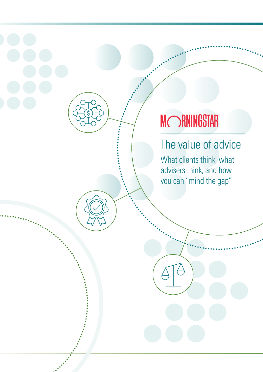# **MORNINGSTAR**

## The value of advice

What clients think, what advisers think, and how you can "mind the gap"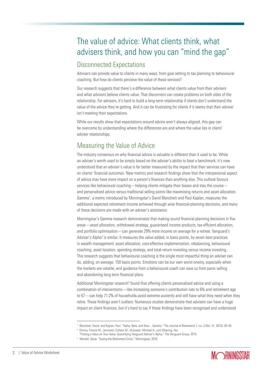## The value of advice: What clients think, what advisers think, and how you can "mind the gap"

#### Disconnected Expectations

Advisers can provide value to clients in many ways, from goal setting to tax planning to behavioural coaching. But how do clients perceive the value of these services?

Our research suggests that there's a difference between what clients value from their advisers and what advisers believe clients value. That disconnect can create problems on both sides of the relationship. For advisers, it's hard to build a long-term relationship if clients don't understand the value of the advice they're getting. And it can be frustrating for clients if it seems that their adviser isn't meeting their expectations.

While our results show that expectations around advice aren't always aligned, this gap can be overcome by understanding where the differences are and where the value lies in client/ adviser relationships.

## Measuring the Value of Advice

The industry consensus on why financial advice is valuable is different than it used to be. While an adviser's worth used to be simply based on the adviser's ability to beat a benchmark, it's now understood that an adviser's value is far better measured by the impact that their services can have on clients' financial outcomes. New metrics and research findings show that the interpersonal aspect of advice may have more impact on a person's finances than anything else. This outlook favours services like behavioural coaching—helping clients mitigate their biases and stay the course and personalised advice versus traditional selling points like maximising returns and asset allocation. Gamma<sup>1</sup>, a metric introduced by Morningstar's David Blanchett and Paul Kaplan, measures the additional expected retirement income achieved through wise financial-planning decisions, and many of these decisions are made with an adviser's assistance.

Morningstar's Gamma research demonstrates that making sound financial planning decisions in five areas—asset allocation, withdrawal strategy, guaranteed income products, tax-efficient allocation, and portfolio optimisation—can generate 29% more income on average for a retiree. Vanguard's Adviser's Alpha<sup>2</sup> is similar. It measures the value added, in basis points, by seven best practices in wealth management: asset allocation, cost-effective implementation, rebalancing, behavioural coaching, asset location, spending strategy, and total-return investing versus income investing. This research suggests that behavioural coaching is the single most impactful thing an adviser can do, adding, on average, 150 basis points. Emotions can be our own worst enemy, especially when the markets are volatile, and guidance from a behavioural coach can save us from panic selling and abandoning long-term financial plans.

Additional Morningstar research<sup>3</sup> found that offering clients personalised advice and using a combination of interventions—like increasing someone's contribution rate to 6% and retirement age to 67—can help 71.2% of households avoid extreme austerity and still have what they need when they retire. These findings aren't outliers: Numerous studies demonstrate that advisers can have a huge impact on client finances, but it's hard to say if these findings have been recognised and understood.



<sup>1</sup>Blanchett, David, and Kaplan, Paul. "Alpha, Beta, and Now…Gamma." The Journal of Retirement 1, no. 2 (Oct. 31, 2013): 29–45.

<sup>&</sup>lt;sup>2</sup> Kinniry, Francis M., Jaconetti, Colleen M., DiJoseph, Michael A., and Zilbering, Yan.

<sup>&</sup>quot;Putting a Value on Your Value: Quantifying Vanguard Advisor's Alpha." The Vanguard Group, 2014.

<sup>3</sup> Wendel, Steve. "Easing the Retirement Crisis." Morningstar, 2018.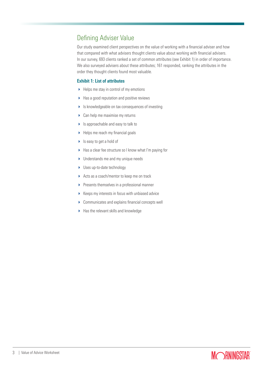#### Defining Adviser Value

Our study examined client perspectives on the value of working with a financial adviser and how that compared with what advisers thought clients value about working with financial advisers. In our survey, 693 clients ranked a set of common attributes (see Exhibit 1) in order of importance. We also surveyed advisers about these attributes; 161 responded, ranking the attributes in the order they thought clients found most valuable.

#### Exhibit 1: List of attributes

- $\blacktriangleright$  Helps me stay in control of my emotions
- $\blacktriangleright$  Has a good reputation and positive reviews
- Is knowledgeable on tax consequences of investing
- ▶ Can help me maximise my returns
- ▶ Is approachable and easy to talk to
- $\blacktriangleright$  Helps me reach my financial goals
- ▶ Is easy to get a hold of
- ▶ Has a clear fee structure so I know what I'm paying for
- **Inderstands me and my unique needs**
- ▶ Uses up-to-date technology
- Acts as a coach/mentor to keep me on track
- $\blacktriangleright$  Presents themselves in a professional manner
- $\triangleright$  Keeps my interests in focus with unbiased advice
- ▶ Communicates and explains financial concepts well
- Has the relevant skills and knowledge

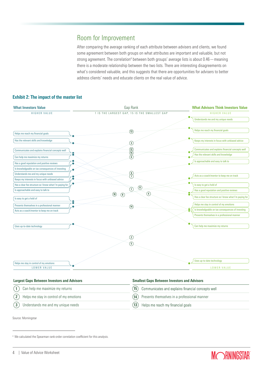#### Room for Improvement

After comparing the average ranking of each attribute between advisers and clients, we found some agreement between both groups on what attributes are important and valuable, but not strong agreement. The correlation<sup>4</sup> between both groups' average lists is about 0.46 — meaning there is a moderate relationship between the two lists. There are interesting disagreements on what's considered valuable, and this suggests that there are opportunities for advisers to better address clients' needs and educate clients on the real value of advice.

| <b>What Investors Value</b>                                   | Gap Rank                                      | <b>What Advisors Think Investors Value</b>              |
|---------------------------------------------------------------|-----------------------------------------------|---------------------------------------------------------|
| <b>HIGHER VALUE</b>                                           | 1 IS THE LARGEST GAP, 15 IS THE SMALLEST GAP  | HIGHER VALUE                                            |
|                                                               |                                               | Understands me and my unique needs                      |
| Helps me reach my financial goals                             | $\circled{13}$                                | Helps me reach my financial goals                       |
|                                                               |                                               |                                                         |
| Has the relevant skills and knowledge                         | $\circled{3}$                                 | Keeps my interests in focus with unbiased advice        |
| Communicates and explains financial concepts well             |                                               | Communicates and explains financial concepts well       |
| Can help me maximize my returns                               | $\begin{pmatrix} 12 \\ 15 \\ 6 \end{pmatrix}$ | Has the relevant skills and knowledge                   |
| Has a good reputation and positive reviews                    |                                               | Is approachable and easy to talk to                     |
| Is knowledgeable on tax consequences of investing             |                                               |                                                         |
| Understands me and my unique needs                            | $\begin{matrix} 9 \\ 7 \end{matrix}$          | Acts as a coach/mentor to keep me on track              |
| $\bullet$<br>Keeps my interests in focus with unbiased advice |                                               |                                                         |
| Has a clear fee structure so I know what I'm paying for       | $\binom{1}{1}$                                | Is easy to get a hold of                                |
| Is approachable and easy to talk to                           | $\left( \mathrm{1}\right)$<br>(4)             | Has a good reputation and positive reviews              |
| Is easy to get a hold of                                      | $\left( 10 \right)$<br>$\circled{6}$          | Has a clear fee structure so I know what I'm paying for |
| Presents themselves in a professional manner                  | $\left(\overline{14}\right)$                  | Helps me stay in control of my emotions                 |
| Acts as a coach/mentor to keep me on track                    |                                               | ٢<br>Is knowledgeable on tax consequences of investing  |
|                                                               |                                               | Presents themselves in a professional manner            |
| Uses up-to-date technology                                    |                                               | Can help me maximize my returns                         |
|                                                               | $\circled{2}$                                 |                                                         |
|                                                               | $\circled{5}$                                 |                                                         |
|                                                               |                                               |                                                         |
|                                                               |                                               | Uses up-to-date technology                              |
| Helps me stay in control of my emotions                       |                                               |                                                         |
| LOWER VALUE                                                   |                                               | LOWER VALUE                                             |

#### Exhibit 2: The impact of the master list

| <b>Largest Gaps Between Investors and Advisors</b> | <b>Smallest Gaps Between Investors and Advisors</b>    |  |
|----------------------------------------------------|--------------------------------------------------------|--|
| $(1)$ Can help me maximize my returns              | (15) Communicates and explains financial concepts well |  |
| $(2)$ Helps me stay in control of my emotions      | (14) Presents themselves in a professional manner      |  |
| (3) Understands me and my unique needs             | (13) Helps me reach my financial goals                 |  |

Source: Morningstar



<sup>4</sup> We calculated the Spearman rank-order correlation coefficient for this analysis.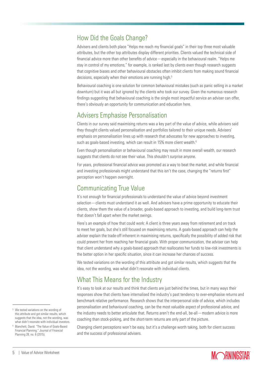## How Did the Goals Change?

Advisers and clients both place "Helps me reach my financial goals" in their top three most valuable attributes, but the other top attributes display different priorities. Clients valued the technical side of financial advice more than other benefits of advice—especially in the behavioural realm. "Helps me stay in control of my emotions," for example, is ranked last by clients even though research suggests that cognitive biases and other behavioural obstacles often inhibit clients from making sound financial decisions, especially when their emotions are running high.<sup>5</sup>

Behavioural coaching is one solution for common behavioural mistakes (such as panic selling in a market downturn) but it was all but ignored by the clients who took our survey. Given the numerous research findings suggesting that behavioural coaching is the single most impactful service an adviser can offer, there's obviously an opportunity for communication and education here.

## Advisers Emphasise Personalisation

Clients in our survey said maximising returns was a key part of the value of advice, while advisers said they thought clients valued personalisation and portfolios tailored to their unique needs. Advisers' emphasis on personalisation lines up with research that advocates for new approaches to investing, such as goals-based investing, which can result in 15% more client wealth.<sup>6</sup>

Even though personalisation or behavioural coaching may result in more overall wealth, our research suggests that clients do not see their value. This shouldn't surprise anyone.

For years, professional financial advice was promoted as a way to beat the market, and while financial and investing professionals might understand that this isn't the case, changing the "returns first" perception won't happen overnight.

## Communicating True Value

It's not enough for financial professionals to understand the value of advice beyond investment selection—clients must understand it as well. And advisers have a prime opportunity to educate their clients, show them the value of a broader, goals-based approach to investing, and build long-term trust that doesn't fall apart when the market swings.

Here's an example of how that could work: A client is three years away from retirement and on track to meet her goals, but she's still focused on maximising returns. A goals-based approach can help the adviser explain the trade-off inherent in maximising returns, specifically the possibility of added risk that could prevent her from reaching her financial goals. With proper communication, the adviser can help that client understand why a goals-based approach that reallocates her funds to low-risk investments is the better option in her specific situation, since it can increase her chances of success.

We tested variations on the wording of this attribute and got similar results, which suggests that the idea, not the wording, was what didn't resonate with individual clients.

#### What This Means for the Industry

It's easy to look at our results and think that clients are just behind the times, but in many ways their responses show that clients have internalised the industry's past tendency to over-emphasise returns and benchmark relative performance. Research shows that the interpersonal side of advice, which includes personalisation and behavioural coaching, can be the most valuable aspect of professional advice, and the industry needs to better articulate that. Returns aren't the end-all, be-all—modern advice is more coaching than stock-picking, and the short-term returns are only part of the picture.

Changing client perceptions won't be easy, but it's a challenge worth taking, both for client success and the success of professional advisers.



<sup>5</sup> We tested variations on the wording of this attribute and got similar results, which suggests that the idea, not the wording, was what didn't resonate with individual investors.

<sup>6</sup> Blanchett, David. "The Value of Goals-Based Financial Planning." Journal of Financial Planning 28, no. 6 (2015).